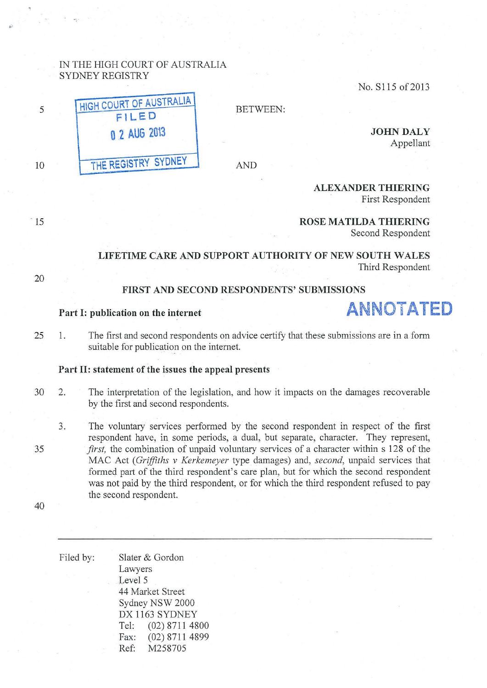## IN THE HIGH COURT OF AUSTRALIA SYDNEY REGISTRY

No. S115 of 2013

**HIGH COURT OF AUSTRALIA F ILE D 0 2 AUG 20\3 THE REGISTRY SYDNEY** 

BETWEEN:

AND

**JOHN DALY**  Appellant

First Respondent

 $\overline{15}$ 

20

10

5

..

#### **ROSE MATILDA THIERING**  Second Respondent

**ALEXANDER THIERING** 

**LIFETIME CARE AND SUPPORT AUTHORITY OF NEW SOUTH WALES**  Third Respondent

## **FIRST AND SECOND RESPONDENTS' SUBMISSIONS**

# Part I: publication on the internet **ANNOTATED**

25 1. The first and second respondents on advice certify that these submissions are in a form suitable for publication on the internet.

#### **Part II: statement of the issues the appeal presents**

- 30 2. The interpretation of the legislation, and how it impacts on the damages recoverable by the first and second respondents.
- 35 ,.., The voluntary services performed by the second respondent in respect of the first respondent have, in some periods, a dual, but separate, character. They represent, *first*, the combination of unpaid voluntary services of a character within s 128 of the MAC Act *(Griffiths v Kerkemeyer* type damages) and, *second,* unpaid services that formed part of the third respondent's care plan, but for which the second respondent was not paid by the third respondent, or for which the third respondent refused to pay the second respondent.

| Filed by: |                  | Slater & Gordon  |
|-----------|------------------|------------------|
|           | Lawyers          |                  |
|           | Level 5          |                  |
|           | 44 Market Street |                  |
|           | Sydney NSW 2000  |                  |
|           | DX 1163 SYDNEY   |                  |
|           | Tel:             | $(02)$ 8711 4800 |
|           | Fax:             | $(02)$ 8711 4899 |
|           | Ref:             | M258705          |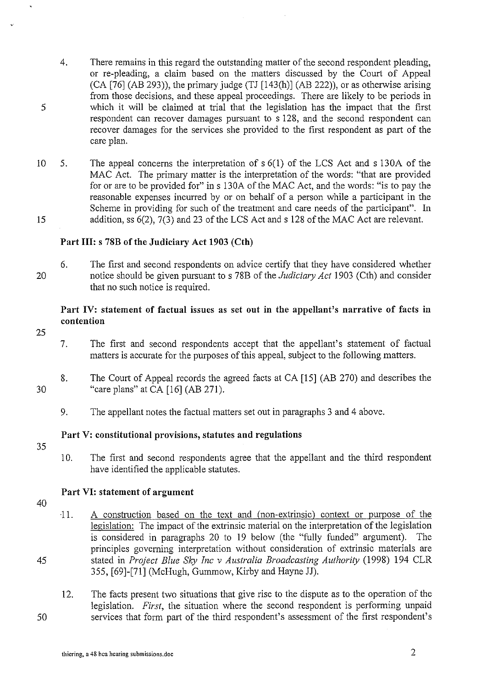- 4. There remains in this regard the outstanding matter of the second respondent pleading, or re-pleading, a claim based on the matters discussed by the Court of Appeal (CA [76] (AB 293)), the primary judge (TJ [143(h)] (AB 222)), or as otherwise arising from those decisions, and these appeal proceedings. There are likely to be periods in which it will be claimed at trial that the legislation has the impact that the first respondent can recover damages pursuant to s 128, and the second respondent can recover damages for the services she provided to the first respondent as pati of the care plan.
- 10 5. The appeal concerns the interpretation of s 6(1) of the LCS Act and s 130A of the MAC Act. The primary matter is the interpretation of the words: "that are provided for or are to be provided for" in s 130A of the MAC Act, and the words: "is to pay the reasonable expenses incurred by or on behalf of a person while a participant in the Scheme in providing for such of the treatment and care needs of the participant". In 15 addition, ss 6(2), 7(3) and 23 of the LCS Act and s 128 of the MAC Act are relevant.

## Part III: s 78B of the Judiciary Act 1903 (Cth)

20 6. The first and second respondents on advice certify that they have considered whether notice should be given pursuant to s 78B of the *Judiciary Act* 1903 (Cth) and consider that no such notice is required.

# Part IV: statement of factual issues as set out in the appellant's narrative of facts in contention

25

5

- 7. The first and second respondents accept that the appellant's statement of factual matters is accurate for the purposes of this appeal, subject to the following matters.
- 30 8. The Court of Appeal records the agreed facts at CA [15] (AB 270) and describes the "care plans" at CA [16] (AB 271).
	- 9. The appellant notes the factual matters set out in paragraphs 3 and 4 above.

# Part V: constitutional provisions, statutes and regulations

- 35
- 10. The first and second respondents agree that the appellant and the third respondent have identified the applicable statutes.

#### Part VI: statement of argument

40

45

- 11. A construction based on the text and (non-extrinsic) context or purpose of the legislation: The impact of the extrinsic material on the interpretation of the legislation is considered in paragraphs 20 to 19 below (the "fully funded" argument). The principles governing interpretation without consideration of extrinsic materials are stated in *Project Blue Sky Inc v Australia Broadcasting Authority* (1998) 194 CLR 355, [69]-[71] (McHugh, Gummow, Kirby and Hayne JJ).
- 12. The facts present two situations that give rise to the dispute as to the operation of the legislation. *First,* the situation where the second respondent is performing unpaid services that form part of the third respondent's assessment of the first respondent's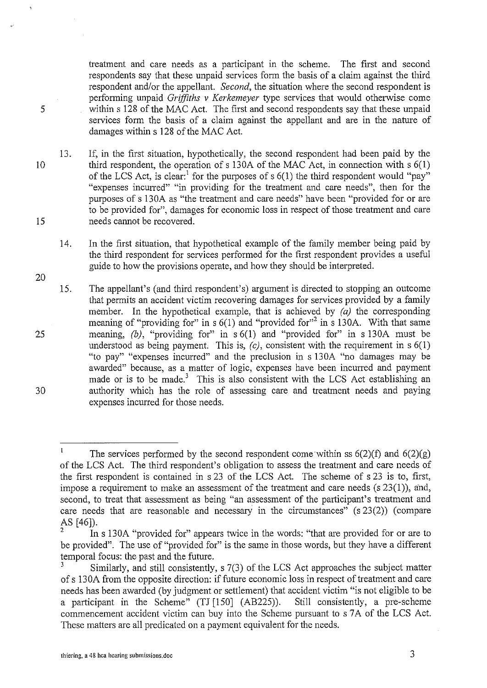treatment and care needs as a participant in the scheme. The first and second respondents say that these unpaid services form the basis of a claim against the third respondent and/or the appellant. *Second,* the situation where the second respondent is performing unpaid *Griffiths v Kerkemeyer* type services that would otherwise come within s 128 of the MAC Act. The first and second respondents say that these unpaid services form the basis of a claim against the appellant and are in the nature of damages within s 128 of the MAC Act.

13. If, in the first situation, hypothetically, the second respondent had been paid by the third respondent, the operation of s 130A of the MAC Act, in connection with  $s \, 6(1)$ of the LCS Act, is clear:  $\frac{1}{1}$  for the purposes of s 6(1) the third respondent would "pay" "expenses incurred" "in providing for the treatment and care needs", then for the purposes of s 130A as "the treatment and care needs" have been "provided for or are to be provided for", damages for economic loss in respect of those treatment and care needs carmot be recovered.

14. In the first situation, that hypothetical example of the family member being paid by the third respondent for services performed for the first respondent provides a useful guide to how the provisions operate, and how they should be interpreted.

15. The appellant's (and third respondent's) argument is directed to stopping an outcome that permits an accident victim recovering damages for services provided by a family member. In the hypothetical example, that is achieved by  $(a)$  the corresponding meaning of "providing for" in s  $6(1)$  and "provided for"<sup>2</sup> in s 130A. With that same meaning, *(b)*, "providing for" in s 6(1) and "provided for" in s 130A must be understood as being payment. This is,  $(c)$ , consistent with the requirement in s  $6(1)$ "to pay" "expenses incurred" and the preclusion in s 130A "no damages may be awarded" because, as a matter of logic, expenses have been incurred and payment made or is to be made.<sup>3</sup> This is also consistent with the LCS Act establishing an authority which has the role of assessing care and treatment needs and paying expenses incurred for those needs.

5

10

20

15

 $\mathbf{I}$ The services performed by the second respondent come within ss  $6(2)(f)$  and  $6(2)(g)$ of the LCS Act. The third respondent's obligation to assess the treatment and care needs of the first respondent is contained in s 23 of the LCS Act. The scheme of s 23 is to, first, impose a requirement to make an assessment of the treatment and care needs (s 23(1)), and, second, to treat that assessment as being "an assessment of the participant's treatment and care needs that are reasonable and necessary in the circumstances" (s 23(2)) (compare AS (46]).

In s 130A "provided for" appears twice in the words: "that are provided for or are to be provided". The use of "provided for" is the same in those words, but they have a different temporal focus: the past and the future.<br>3<br>Similarly, and still consistently.

Similarly, and still consistently, s 7(3) of the LCS Act approaches the subject matter of s 130A from the opposite direction: if future economic loss in respect of treatment and care needs has been awarded (by judgment or settlement) that accident victim "is not eligible to be<br>a participant in the Scheme" (TJ [150] (AB225)). Still consistently, a pre-scheme a participant in the Scheme"  $(TJ [150] (AB225))$ . commencement accident victim can buy into the Scheme pursuant to s 7A of the LCS Act. These matters are all predicated on a payment equivalent for the needs.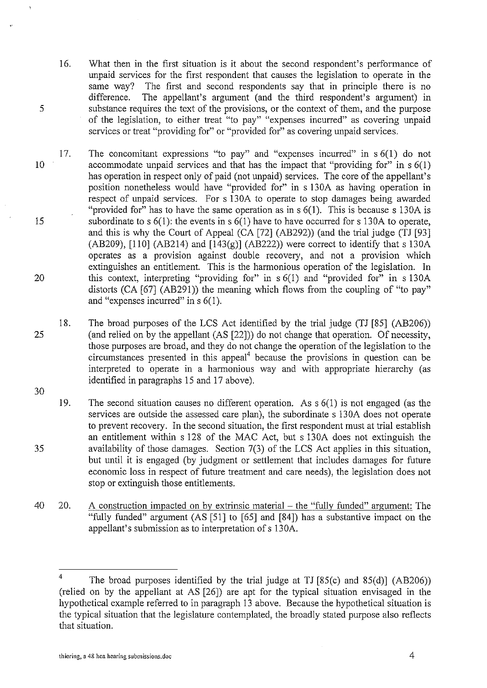- 16. What then in the first situation is it about the second respondent's performance of unpaid services for the first respondent that causes the legislation to operate in the same way? The first and second respondents say that in principle there is no difference. The annellant's argument (and the third respondent's argument) in The appellant's argument (and the third respondent's argument) in substance requires the text of the provisions, or the context of them, and the purpose of the legislation, to either treat "to pay" "expenses incurred" as covering unpaid services or treat "providing for" or "provided for" as covering unpaid services.
- 10 15 20 17. The concomitant expressions "to pay" and "expenses incurred" in  $s \cdot 6(1)$  do not accommodate unpaid services and that has the impact that "providing for" in  $s \, 6(1)$ has operation in respect only of paid (not unpaid) services. The core of the appellant's position nonetheless would have "provided for" in s 130A as having operation in respect of unpaid services. For s 130A to operate to stop damages being awarded "provided for" has to have the same operation as in  $s$  6(1). This is because s 130A is subordinate to s  $6(1)$ : the events in s  $6(1)$  have to have occurred for s 130A to operate, and this is why the Court of Appeal (CA [72] (AB292)) (and the trial judge (TJ [93] (AB209), [110] (AB214) and  $[143(g)]$  (AB222)) were correct to identify that s 130A operates as a provision against double recovery, and not a provision which extinguishes an entitlement. This is the harmonious operation of the legislation. In this context, interpreting "providing for" in  $s$  6(1) and "provided for" in  $s$  130A distorts (CA [67] (AB291)) the meaning which flows from the coupling of "to pay" and "expenses incurred" in s 6(1).
- 25 18. The broad purposes of the LCS Act identified by the trial judge (TJ [85] (AB206)) (and relied on by the appellant (AS [22])) do not change that operation. Of necessity, those purposes are broad, and they do not change the operation of the legislation to the  $circ$  circumstances presented in this appeal $4$  because the provisions in question can be interpreted to operate in a harmonious way and with appropriate hierarchy (as identified in paragraphs 15 and 17 above).
- 30 35 19. The second situation causes no different operation. As s 6(1) is not engaged (as the services are outside the assessed care plan), the subordinate s 130A does not operate to prevent recovery. In the second situation, the first respondent must at trial establish an entitlement within s 128 of the MAC Act, but s 130A does not extinguish the availability of those damages. Section 7(3) of the LCS Act applies in this situation, but until it is engaged (by judgment or settlement that includes damages for future economic loss in respect of future treatment and care needs), the legislation does not stop or extinguish those entitlements.
- $40$  20. A construction impacted on by extrinsic material  $-$  the "fully funded" argument: The "fully funded" argument (AS [51] to [65] and [84]) has a substantive impact on the appellant's submission as to interpretation of s 130A.

<sup>&</sup>lt;sup>4</sup> The broad purposes identified by the trial judge at TJ  $[85(c)$  and  $85(d)]$  (AB206)) (relied on by the appellant at AS [26]) are apt for the typical situation envisaged in the hypothetical example referred to in paragraph 13 above. Because the hypothetical situation is the typical situation that the legislature contemplated, the broadly stated purpose also reflects that situation.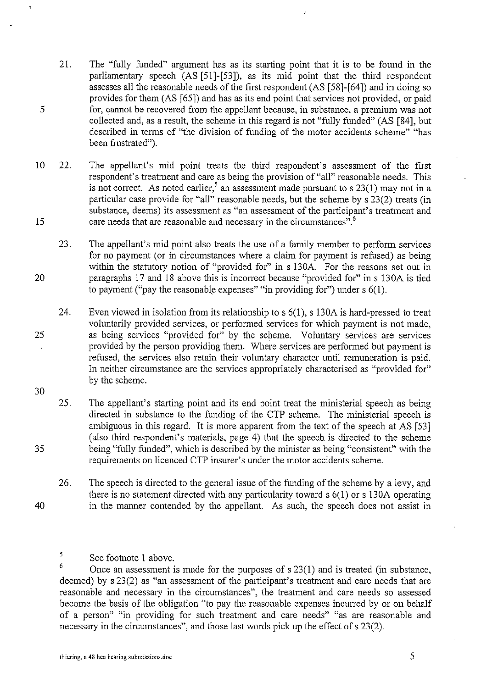- 21. The "fully funded" argument has as its starting point that it is to be found in the parliamentary speech (AS [51]-[53]), as its mid point that the third respondent assesses all the reasonable needs of the first respondent (AS [58]-[64]) and in doing so provides for them (AS [65]) and has as its end point that services not provided, or paid for, cannot be recovered from the appellant because, in substance, a premium was not collected and, as a result, the scheme in this regard is not "fully funded" (AS [84], but described in terms of "the division of funding of the motor accidents scheme" "has been frustrated").
- 10 22. The appellant's mid point treats the third respondent's assessment of the first respondent's treatment and care as being the provision of "all" reasonable needs. This is not correct. As noted earlier,<sup>5</sup> an assessment made pursuant to s 23(1) may not in a particular case provide for "all" reasonable needs, but the scheme by s 23(2) treats (in substance, deems) its assessment as "an assessment of the participant's treatment and 15 care needs that are reasonable and necessary in the circumstances".<sup>6</sup>
- 20 23. The appellant's mid point also treats the use of a family member to perform services for no payment (or in circumstances where a claim for payment is refused) as being within the statutory notion of "provided for" in s 130A. For the reasons set out in paragraphs 17 and 18 above this is incorrect because "provided for" in s 130A is tied to payment ("pay the reasonable expenses" "in providing for") under s 6(1 ).
- 25 24. Even viewed in isolation from its relationship to s 6(1), s 130A is hard-pressed to treat voluntarily provided services, or performed services for which payment is not made, as being services "provided for" by the scheme. Voluntary services are services provided by the person providing them. Where services are performed but payment is refused, the services also retain their voluntary character until remuneration is paid. In neither circumstance are the services appropriately characterised as "provided for" by the scheme.
- 30

35

40

5

25. The appellant's starting point and its end point treat the ministerial speech as being directed in substance to the funding of the CTP scheme. The ministerial speech is ambiguous in this regard. It is more apparent from the text of the speech at AS [53] (also third respondent's materials, page 4) that the speech is directed to the scheme being "fully funded", which is described by the minister as being "consistent" with the requirements on licenced CTP insurer's under the motor accidents scheme.

26. The speech is directed to the general issue of the funding of the scheme by a levy, and there is no statement directed with any particularity toward s 6(1) or s 13 OA operating in the manner contended by the appellant. As such, the speech does not assist in

<sup>5</sup>  See footnote I above.

<sup>6</sup> Once an assessment is made for the purposes of s 23(1) and is treated (in substance, deemed) by s 23(2) as "an assessment of the participant's treatment and care needs that are reasonable and necessary in the circumstances", the treatment and care needs so assessed become the basis of the obligation "to pay the reasonable expenses incurred by or on behalf of a person" "in providing for such treatment and care needs" "as are reasonable and necessary in the circumstances", and those last words pick up the effect of s 23(2).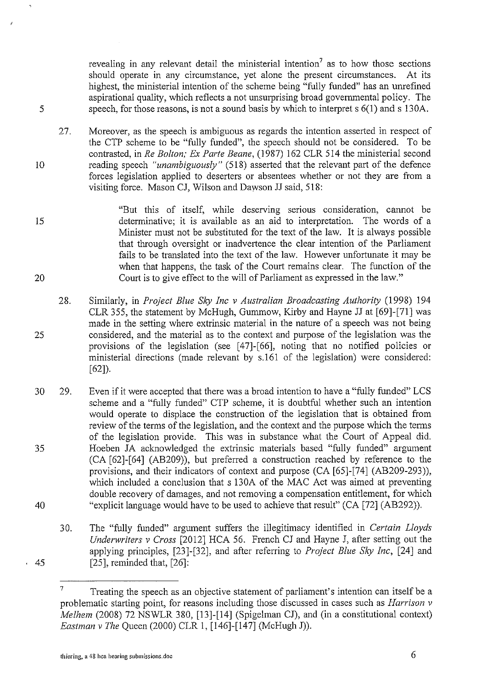revealing in any relevant detail the ministerial intention<sup>7</sup> as to how those sections should operate in any circumstance, yet alone the present circumstances. At its highest, the ministerial intention of the scheme being "fully funded" has an unrefined aspirational quality, which reflects a not unsurprising broad governmental policy. The speech, for those reasons, is not a sound basis by which to interpret s 6(1) and s 130A.

- 27. Moreover, as the speech is ambiguous as regards the intention asserted in respect of the CTP scheme to be "fully funded", the speech should not be considered. To be contrasted, in *Re Bolton; Ex Parte Beane,* (1987) 162 CLR 514 the ministerial second reading speech *"unambiguously"* (518) asserted that the relevant part of the defence forces legislation applied to deserters or absentees whether or not they are from a visiting force. Mason CJ, Wilson and Dawson JJ said, 518:
- 15 20 "But this of itself, while deserving serious consideration, caunot be determinative; it is available as an aid to interpretation. The words of a Minister must not be substituted for the text of the law. It is always possible that through oversight or inadvertence the clear intention of the Parliament fails to be translated into the text of the law. However unfortunate it may be when that happens, the task of the Court remains clear. The function of the Court is to give effect to the will of Parliament as expressed in the law."
- 25 28. Similarly, in *Project Blue Sky Inc v Australian Broadcasting Authority* (1998) 194 CLR 355, the statement by McHugh, Gummow, Kirby and Hayne JJ at [69]-[71] was made in the setting where extrinsic material in the nature of a speech was not being considered, and the material as to the context and purpose of the legislation was the provisions of the legislation (see [47]-[66], noting that no notified policies or ministerial directions (made relevant by s.l61 of the legislation) were considered: [62]).
- 30 29. Even if it were accepted that there was a broad intention to have a "fully funded" LCS scheme and a "fully funded" CTP scheme, it is doubtful whether such an intention would operate to displace the construction of the legislation that is obtained from review of the terms of the legislation, and the context and the purpose which the terms of the legislation provide. This was in substance what the Court of Appeal did. Hoeben JA acknowledged the extrinsic materials based "fully funded" argument (CA [62]-[64] (AB209)), but preferred a construction reached by reference to the provisions, and their indicators of context and purpose (CA [65]-[74] (AB209-293)), which included a conclusion that s 130A of the MAC Act was aimed at preventing double recovery of damages, and not removing a compensation entitlement, for which "explicit language would have to be used to achieve that result" (CA [72] (AB292)). 35 40
	- 30. The "fully funded" argnment suffers the illegitimacy identified in *Certain Lloyds Underwriters v Cross* [2012] HCA 56. French CJ and Hayne J, after setting out the applying principles, [23]-[32], and after referring to *Project Blue Sky Inc,* [24] and  $[25]$ , reminded that,  $[26]$ :

 $.45$ 

5

<sup>&</sup>lt;sup>7</sup> Treating the speech as an objective statement of parliament's intention can itself be a problematic starting point, for reasons including those discussed in cases such as *Harrison v Melhem* (2008) 72 NSWLR 380, [13]-[14] (Spigelman CJ), and (in a constitutional context) *Eastman v The* Queen (2000) CLR 1, [146]-[147] (McHugh J)).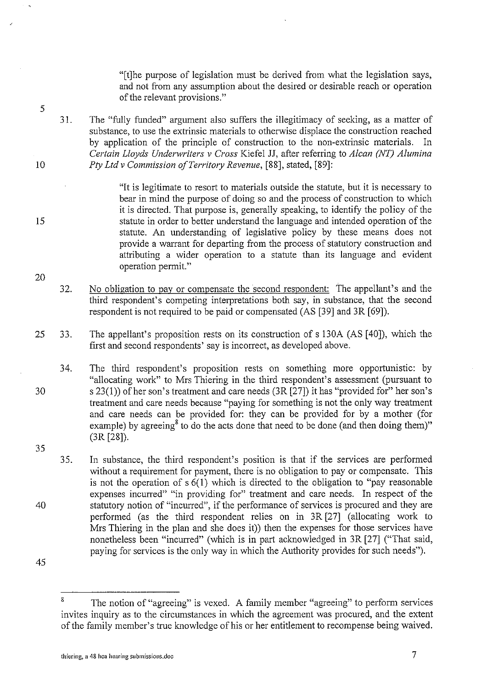"[t]he purpose of legislation must be derived from what the legislation says, and not from any assumption about the desired or desirable reach or operation of the relevant provisions."

31. The "fully funded" argument also suffers the illegitimacy of seeking, as a matter of substance, to use the extrinsic materials to otherwise displace the construction reached by application of the principle of construction to the non-extrinsic materials. In *Certain Lloyds Underwriters v Cross* Kiefel JJ, after referring to *A lean (NT) Alumina Pty Ltd v Commission of Territory Revenue,* [88], stated, [89]:

> "It is legitimate to resort to materials outside the statute, but it is necessary to bear in mind the purpose of doing so and the process of construction to which it is directed. That purpose is, generally speaking, to identify the policy of the statute in order to better understand the language and intended operation of the statute. An understanding of legislative policy by these means does not provide a warrant for departing from the process of statutory construction and attributing a wider operation to a statute than its language and evident operation permit."

32. No obligation to pay or compensate the second respondent: The appellant's and the third respondent's competing interpretations both say, in substance, that the second respondent is not required to be paid or compensated (AS [39] and 3R [69]).

25 33. The appellant's proposition rests on its construction of s 130A (AS [40]), which the first and second respondents' say is incorrect, as developed above.

30 34. The third respondent's proposition rests on something more opportunistic: by "allocating work" to Mrs Thiering in the third respondent's assessment (pursuant to s 23(1)) of her son's treatment and care needs (3R [27]) it has "provided for" her son's treatment and care needs because "paying for something is not the only way treatment and care needs can be provided for: they can be provided for by a mother (for example) by agreeing<sup>8</sup> to do the acts done that need to be done (and then doing them)" (3R [28]).

35 40 35. In substance, the third respondent's position is that if the services are performed without a requirement for payment, there is no obligation to pay or compensate. This is not the operation of s 6(1) which is directed to the obligation to "pay reasonable expenses incurred" "in providing for" treatment and care needs. In respect of the statutory notion of "incurred", if the performance of services is procured and they are performed (as the third respondent relies on in 3R [27] (allocating work to Mrs Thiering in the plan and she does it)) then the expenses for those services have nonetheless been "incurred" (which is in part acknowledged in 3R [27] ("That said, paying for services is the only way in which the Authority provides for such needs").

45

5

10

15

<sup>&</sup>lt;sup>8</sup> The notion of "agreeing" is vexed. A family member "agreeing" to perform services invites inquiry as to the circumstances in which the agreement was procured, and the extent of the family member's true knowledge of his or her entitlement to recompense being waived.